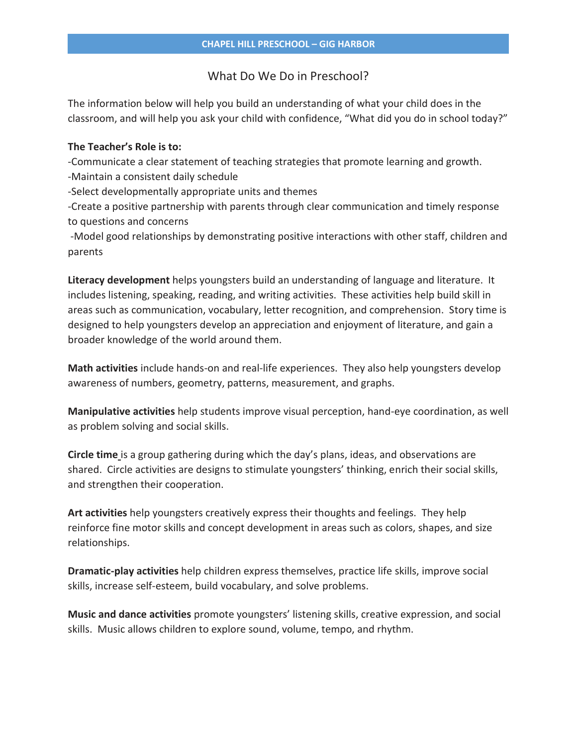# What Do We Do in Preschool?

The information below will help you build an understanding of what your child does in the classroom, and will help you ask your child with confidence, "What did you do in school today?"

### **The Teacher's Role is to:**

-Communicate a clear statement of teaching strategies that promote learning and growth.

-Maintain a consistent daily schedule

-Select developmentally appropriate units and themes

-Create a positive partnership with parents through clear communication and timely response to questions and concerns

-Model good relationships by demonstrating positive interactions with other staff, children and parents

**Literacy development** helps youngsters build an understanding of language and literature. It includes listening, speaking, reading, and writing activities. These activities help build skill in areas such as communication, vocabulary, letter recognition, and comprehension. Story time is designed to help youngsters develop an appreciation and enjoyment of literature, and gain a broader knowledge of the world around them.

**Math activities** include hands-on and real-life experiences. They also help youngsters develop awareness of numbers, geometry, patterns, measurement, and graphs.

**Manipulative activities** help students improve visual perception, hand-eye coordination, as well as problem solving and social skills.

**Circle time** is a group gathering during which the day's plans, ideas, and observations are shared. Circle activities are designs to stimulate youngsters' thinking, enrich their social skills, and strengthen their cooperation.

**Art activities** help youngsters creatively express their thoughts and feelings. They help reinforce fine motor skills and concept development in areas such as colors, shapes, and size relationships.

**Dramatic-play activities** help children express themselves, practice life skills, improve social skills, increase self-esteem, build vocabulary, and solve problems.

**Music and dance activities** promote youngsters' listening skills, creative expression, and social skills. Music allows children to explore sound, volume, tempo, and rhythm.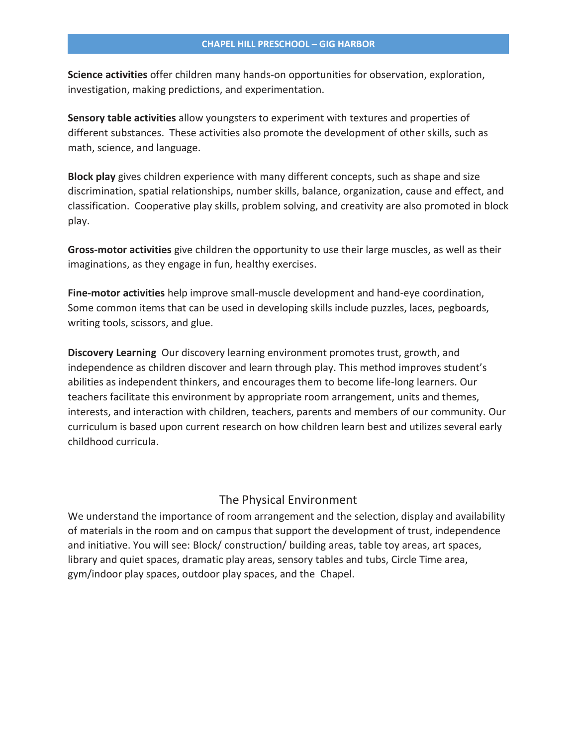**Science activities** offer children many hands-on opportunities for observation, exploration, investigation, making predictions, and experimentation.

**Sensory table activities** allow youngsters to experiment with textures and properties of different substances. These activities also promote the development of other skills, such as math, science, and language.

**Block play** gives children experience with many different concepts, such as shape and size discrimination, spatial relationships, number skills, balance, organization, cause and effect, and classification. Cooperative play skills, problem solving, and creativity are also promoted in block play.

**Gross-motor activities** give children the opportunity to use their large muscles, as well as their imaginations, as they engage in fun, healthy exercises.

**Fine-motor activities** help improve small-muscle development and hand-eye coordination, Some common items that can be used in developing skills include puzzles, laces, pegboards, writing tools, scissors, and glue.

**Discovery Learning** Our discovery learning environment promotes trust, growth, and independence as children discover and learn through play. This method improves student's abilities as independent thinkers, and encourages them to become life-long learners. Our teachers facilitate this environment by appropriate room arrangement, units and themes, interests, and interaction with children, teachers, parents and members of our community. Our curriculum is based upon current research on how children learn best and utilizes several early childhood curricula.

## The Physical Environment

We understand the importance of room arrangement and the selection, display and availability of materials in the room and on campus that support the development of trust, independence and initiative. You will see: Block/ construction/ building areas, table toy areas, art spaces, library and quiet spaces, dramatic play areas, sensory tables and tubs, Circle Time area, gym/indoor play spaces, outdoor play spaces, and the Chapel.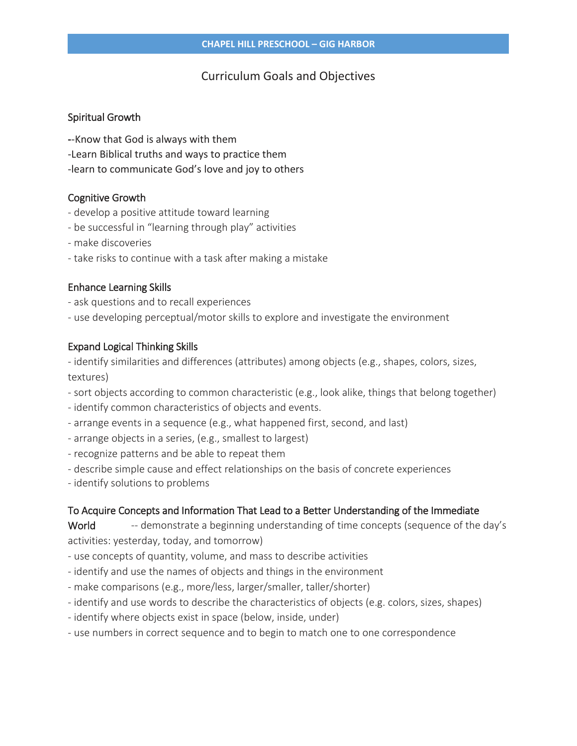# Curriculum Goals and Objectives

### Spiritual Growth

- **-**-Know that God is always with them
- -Learn Biblical truths and ways to practice them
- -learn to communicate God's love and joy to others

# Cognitive Growth

- develop a positive attitude toward learning
- be successful in "learning through play" activities
- make discoveries
- take risks to continue with a task after making a mistake

# Enhance Learning Skills

- ask questions and to recall experiences
- use developing perceptual/motor skills to explore and investigate the environment

# Expand Logical Thinking Skills

- identify similarities and differences (attributes) among objects (e.g., shapes, colors, sizes, textures)

- sort objects according to common characteristic (e.g., look alike, things that belong together)
- identify common characteristics of objects and events.
- arrange events in a sequence (e.g., what happened first, second, and last)
- arrange objects in a series, (e.g., smallest to largest)
- recognize patterns and be able to repeat them
- describe simple cause and effect relationships on the basis of concrete experiences
- identify solutions to problems

# To Acquire Concepts and Information That Lead to a Better Understanding of the Immediate

World -- demonstrate a beginning understanding of time concepts (sequence of the day's activities: yesterday, today, and tomorrow)

- use concepts of quantity, volume, and mass to describe activities
- identify and use the names of objects and things in the environment
- make comparisons (e.g., more/less, larger/smaller, taller/shorter)
- identify and use words to describe the characteristics of objects (e.g. colors, sizes, shapes)
- identify where objects exist in space (below, inside, under)
- use numbers in correct sequence and to begin to match one to one correspondence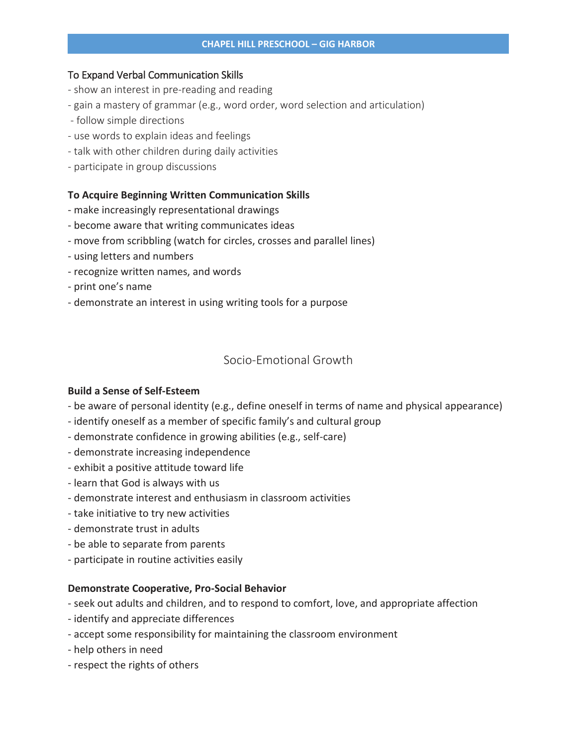### To Expand Verbal Communication Skills

- show an interest in pre-reading and reading
- gain a mastery of grammar (e.g., word order, word selection and articulation)
- follow simple directions
- use words to explain ideas and feelings
- talk with other children during daily activities
- participate in group discussions

### **To Acquire Beginning Written Communication Skills**

- make increasingly representational drawings
- become aware that writing communicates ideas
- move from scribbling (watch for circles, crosses and parallel lines)
- using letters and numbers
- recognize written names, and words
- print one's name
- demonstrate an interest in using writing tools for a purpose

## Socio-Emotional Growth

#### **Build a Sense of Self-Esteem**

- be aware of personal identity (e.g., define oneself in terms of name and physical appearance)
- identify oneself as a member of specific family's and cultural group
- demonstrate confidence in growing abilities (e.g., self-care)
- demonstrate increasing independence
- exhibit a positive attitude toward life
- learn that God is always with us
- demonstrate interest and enthusiasm in classroom activities
- take initiative to try new activities
- demonstrate trust in adults
- be able to separate from parents
- participate in routine activities easily

#### **Demonstrate Cooperative, Pro-Social Behavior**

- seek out adults and children, and to respond to comfort, love, and appropriate affection
- identify and appreciate differences
- accept some responsibility for maintaining the classroom environment
- help others in need
- respect the rights of others